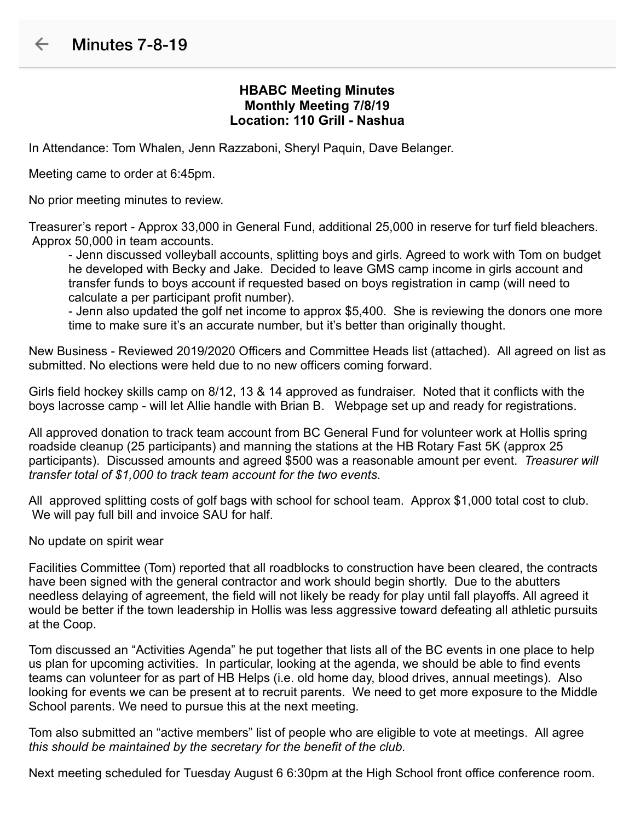## **HBABC Meeting Minutes Monthly Meeting 7/8/19 Location: 110 Grill - Nashua**

In Attendance: Tom Whalen, Jenn Razzaboni, Sheryl Paquin, Dave Belanger.

Meeting came to order at 6:45pm.

No prior meeting minutes to review.

Treasurer's report - Approx 33,000 in General Fund, additional 25,000 in reserve for turf field bleachers. Approx 50,000 in team accounts.

- Jenn discussed volleyball accounts, splitting boys and girls. Agreed to work with Tom on budget he developed with Becky and Jake. Decided to leave GMS camp income in girls account and transfer funds to boys account if requested based on boys registration in camp (will need to calculate a per participant profit number).

- Jenn also updated the golf net income to approx \$5,400. She is reviewing the donors one more time to make sure it's an accurate number, but it's better than originally thought.

New Business - Reviewed 2019/2020 Officers and Committee Heads list (attached). All agreed on list as submitted. No elections were held due to no new officers coming forward.

Girls field hockey skills camp on 8/12, 13 & 14 approved as fundraiser. Noted that it conflicts with the boys lacrosse camp - will let Allie handle with Brian B. Webpage set up and ready for registrations.

All approved donation to track team account from BC General Fund for volunteer work at Hollis spring roadside cleanup (25 participants) and manning the stations at the HB Rotary Fast 5K (approx 25 participants). Discussed amounts and agreed \$500 was a reasonable amount per event. *Treasurer will transfer total of \$1,000 to track team account for the two events*.

All approved splitting costs of golf bags with school for school team. Approx \$1,000 total cost to club. We will pay full bill and invoice SAU for half.

No update on spirit wear

Facilities Committee (Tom) reported that all roadblocks to construction have been cleared, the contracts have been signed with the general contractor and work should begin shortly. Due to the abutters needless delaying of agreement, the field will not likely be ready for play until fall playoffs. All agreed it would be better if the town leadership in Hollis was less aggressive toward defeating all athletic pursuits at the Coop.

Tom discussed an "Activities Agenda" he put together that lists all of the BC events in one place to help us plan for upcoming activities. In particular, looking at the agenda, we should be able to find events teams can volunteer for as part of HB Helps (i.e. old home day, blood drives, annual meetings). Also looking for events we can be present at to recruit parents. We need to get more exposure to the Middle School parents. We need to pursue this at the next meeting.

Tom also submitted an "active members" list of people who are eligible to vote at meetings. All agree *this should be maintained by the secretary for the benefit of the club.*

Next meeting scheduled for Tuesday August 6 6:30pm at the High School front office conference room.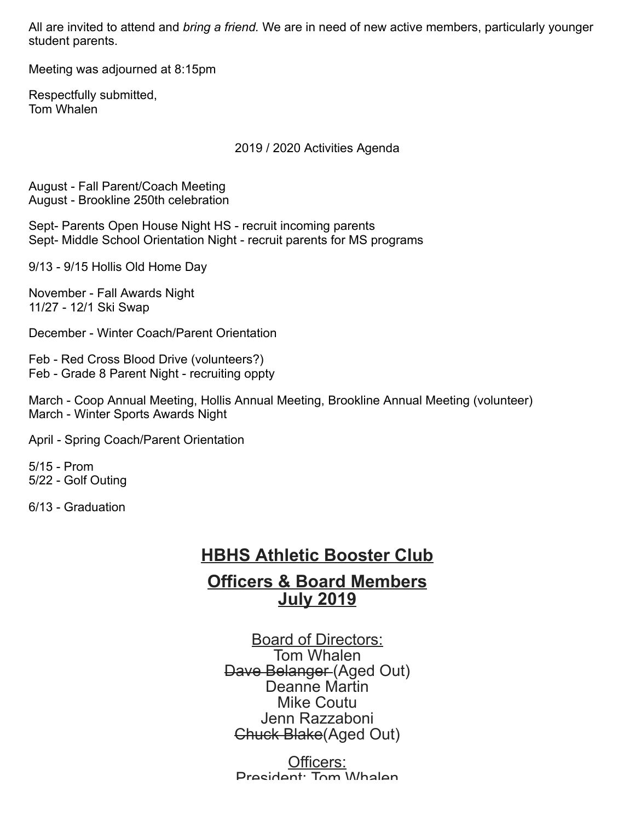All are invited to attend and *bring a friend.* We are in need of new active members, particularly younger student parents.

Meeting was adjourned at 8:15pm

Respectfully submitted, Tom Whalen

2019 / 2020 Activities Agenda

August - Fall Parent/Coach Meeting August - Brookline 250th celebration

Sept- Parents Open House Night HS - recruit incoming parents Sept- Middle School Orientation Night - recruit parents for MS programs

9/13 - 9/15 Hollis Old Home Day

November - Fall Awards Night 11/27 - 12/1 Ski Swap

December - Winter Coach/Parent Orientation

Feb - Red Cross Blood Drive (volunteers?) Feb - Grade 8 Parent Night - recruiting oppty

March - Coop Annual Meeting, Hollis Annual Meeting, Brookline Annual Meeting (volunteer) March - Winter Sports Awards Night

April - Spring Coach/Parent Orientation

5/15 - Prom 5/22 - Golf Outing

6/13 - Graduation

# **HBHS Athletic Booster Club**

## **Officers & Board Members July 2019**

Board of Directors: Tom Whalen Dave Belanger (Aged Out) Deanne Martin Mike Coutu Jenn Razzaboni Chuck Blake(Aged Out)

Officers: President: Tom Whalen